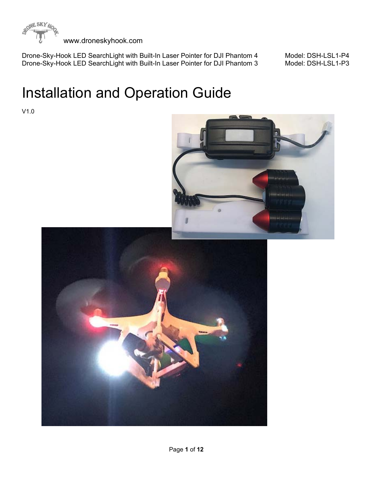

Drone-Sky-Hook LED SearchLight with Built-In Laser Pointer for DJI Phantom 4 Model: DSH-LSL1-P4<br>Drone-Sky-Hook LED SearchLight with Built-In Laser Pointer for DJI Phantom 3 Model: DSH-LSL1-P3 Drone-Sky-Hook LED SearchLight with Built-In Laser Pointer for DJI Phantom 3

# Installation and Operation Guide

V1.0

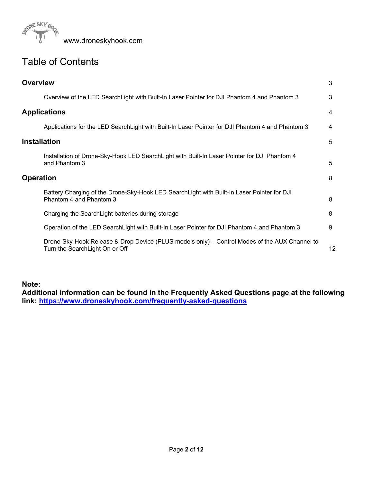

## Table of Contents

| <b>Overview</b> |                                                                                                                                 | 3  |
|-----------------|---------------------------------------------------------------------------------------------------------------------------------|----|
|                 | Overview of the LED SearchLight with Built-In Laser Pointer for DJI Phantom 4 and Phantom 3                                     | 3  |
|                 | Applications                                                                                                                    | 4  |
|                 | Applications for the LED Search Light with Built-In Laser Pointer for DJI Phantom 4 and Phantom 3                               | 4  |
|                 | Installation                                                                                                                    | 5  |
|                 | Installation of Drone-Sky-Hook LED SearchLight with Built-In Laser Pointer for DJI Phantom 4<br>and Phantom 3                   | 5  |
|                 | Operation                                                                                                                       | 8  |
|                 | Battery Charging of the Drone-Sky-Hook LED SearchLight with Built-In Laser Pointer for DJI<br>Phantom 4 and Phantom 3           | 8  |
|                 | Charging the SearchLight batteries during storage                                                                               | 8  |
|                 | Operation of the LED SearchLight with Built-In Laser Pointer for DJI Phantom 4 and Phantom 3                                    | 9  |
|                 | Drone-Sky-Hook Release & Drop Device (PLUS models only) – Control Modes of the AUX Channel to<br>Turn the SearchLight On or Off | 12 |
|                 |                                                                                                                                 |    |

#### **Note:**

**Additional information can be found in the Frequently Asked Questions page at the following link: https://www.droneskyhook.com/frequently-asked-questions**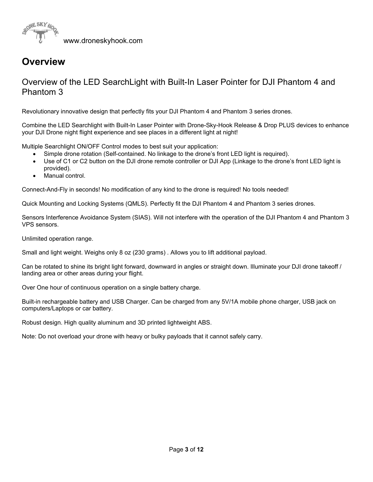

## **Overview**

#### Overview of the LED SearchLight with Built-In Laser Pointer for DJI Phantom 4 and Phantom 3

Revolutionary innovative design that perfectly fits your DJI Phantom 4 and Phantom 3 series drones.

Combine the LED Searchlight with Built-In Laser Pointer with Drone-Sky-Hook Release & Drop PLUS devices to enhance your DJI Drone night flight experience and see places in a different light at night!

Multiple Searchlight ON/OFF Control modes to best suit your application:

- Simple drone rotation (Self-contained. No linkage to the drone's front LED light is required).
- Use of C1 or C2 button on the DJI drone remote controller or DJI App (Linkage to the drone's front LED light is provided).
- Manual control.

Connect-And-Fly in seconds! No modification of any kind to the drone is required! No tools needed!

Quick Mounting and Locking Systems (QMLS). Perfectly fit the DJI Phantom 4 and Phantom 3 series drones.

Sensors Interference Avoidance System (SIAS). Will not interfere with the operation of the DJI Phantom 4 and Phantom 3 VPS sensors.

Unlimited operation range.

Small and light weight. Weighs only 8 oz (230 grams) . Allows you to lift additional payload.

Can be rotated to shine its bright light forward, downward in angles or straight down. Illuminate your DJI drone takeoff / landing area or other areas during your flight.

Over One hour of continuous operation on a single battery charge.

Built-in rechargeable battery and USB Charger. Can be charged from any 5V/1A mobile phone charger, USB jack on computers/Laptops or car battery.

Robust design. High quality aluminum and 3D printed lightweight ABS.

Note: Do not overload your drone with heavy or bulky payloads that it cannot safely carry.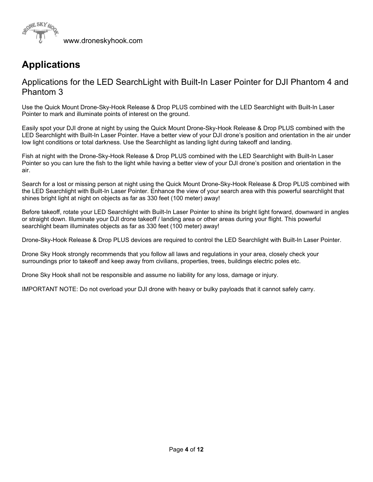

## **Applications**

Applications for the LED SearchLight with Built-In Laser Pointer for DJI Phantom 4 and Phantom 3

Use the Quick Mount Drone-Sky-Hook Release & Drop PLUS combined with the LED Searchlight with Built-In Laser Pointer to mark and illuminate points of interest on the ground.

Easily spot your DJI drone at night by using the Quick Mount Drone-Sky-Hook Release & Drop PLUS combined with the LED Searchlight with Built-In Laser Pointer. Have a better view of your DJI drone's position and orientation in the air under low light conditions or total darkness. Use the Searchlight as landing light during takeoff and landing.

Fish at night with the Drone-Sky-Hook Release & Drop PLUS combined with the LED Searchlight with Built-In Laser Pointer so you can lure the fish to the light while having a better view of your DJI drone's position and orientation in the air.

Search for a lost or missing person at night using the Quick Mount Drone-Sky-Hook Release & Drop PLUS combined with the LED Searchlight with Built-In Laser Pointer. Enhance the view of your search area with this powerful searchlight that shines bright light at night on objects as far as 330 feet (100 meter) away!

Before takeoff, rotate your LED Searchlight with Built-In Laser Pointer to shine its bright light forward, downward in angles or straight down. Illuminate your DJI drone takeoff / landing area or other areas during your flight. This powerful searchlight beam illuminates objects as far as 330 feet (100 meter) away!

Drone-Sky-Hook Release & Drop PLUS devices are required to control the LED Searchlight with Built-In Laser Pointer.

Drone Sky Hook strongly recommends that you follow all laws and regulations in your area, closely check your surroundings prior to takeoff and keep away from civilians, properties, trees, buildings electric poles etc.

Drone Sky Hook shall not be responsible and assume no liability for any loss, damage or injury.

IMPORTANT NOTE: Do not overload your DJI drone with heavy or bulky payloads that it cannot safely carry.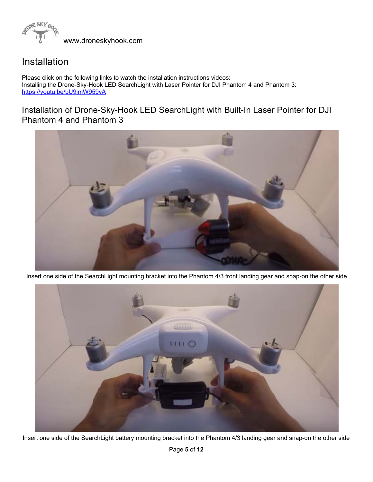

## Installation

Please click on the following links to watch the installation instructions videos: Installing the Drone-Sky-Hook LED SearchLight with Laser Pointer for DJI Phantom 4 and Phantom 3: https://youtu.be/bU9jmW959yA

#### Installation of Drone-Sky-Hook LED SearchLight with Built-In Laser Pointer for DJI Phantom 4 and Phantom 3



Insert one side of the SearchLight mounting bracket into the Phantom 4/3 front landing gear and snap-on the other side

![](_page_4_Picture_6.jpeg)

Insert one side of the SearchLight battery mounting bracket into the Phantom 4/3 landing gear and snap-on the other side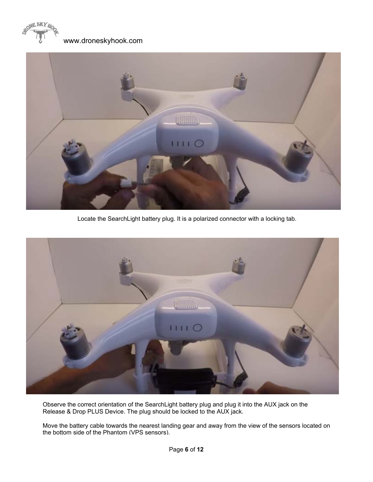![](_page_5_Picture_0.jpeg)

![](_page_5_Picture_2.jpeg)

Locate the SearchLight battery plug. It is a polarized connector with a locking tab.

![](_page_5_Picture_4.jpeg)

Observe the correct orientation of the SearchLight battery plug and plug it into the AUX jack on the Release & Drop PLUS Device. The plug should be locked to the AUX jack.

Move the battery cable towards the nearest landing gear and away from the view of the sensors located on the bottom side of the Phantom (VPS sensors).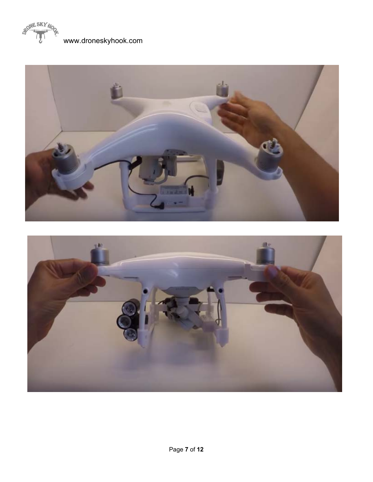![](_page_6_Picture_0.jpeg)

![](_page_6_Picture_2.jpeg)

![](_page_6_Picture_3.jpeg)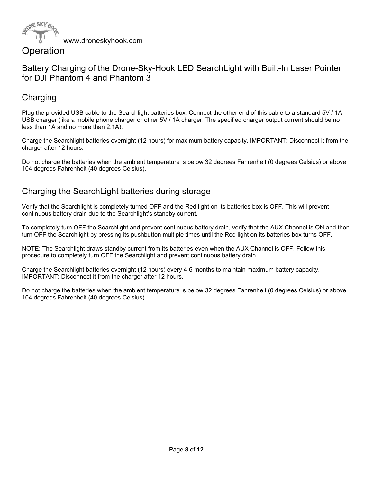![](_page_7_Picture_0.jpeg)

#### **Operation**

#### Battery Charging of the Drone-Sky-Hook LED SearchLight with Built-In Laser Pointer for DJI Phantom 4 and Phantom 3

### Charging

Plug the provided USB cable to the Searchlight batteries box. Connect the other end of this cable to a standard 5V / 1A USB charger (like a mobile phone charger or other 5V / 1A charger. The specified charger output current should be no less than 1A and no more than 2.1A).

Charge the Searchlight batteries overnight (12 hours) for maximum battery capacity. IMPORTANT: Disconnect it from the charger after 12 hours.

Do not charge the batteries when the ambient temperature is below 32 degrees Fahrenheit (0 degrees Celsius) or above 104 degrees Fahrenheit (40 degrees Celsius).

### Charging the SearchLight batteries during storage

Verify that the Searchlight is completely turned OFF and the Red light on its batteries box is OFF. This will prevent continuous battery drain due to the Searchlight's standby current.

To completely turn OFF the Searchlight and prevent continuous battery drain, verify that the AUX Channel is ON and then turn OFF the Searchlight by pressing its pushbutton multiple times until the Red light on its batteries box turns OFF.

NOTE: The Searchlight draws standby current from its batteries even when the AUX Channel is OFF. Follow this procedure to completely turn OFF the Searchlight and prevent continuous battery drain.

Charge the Searchlight batteries overnight (12 hours) every 4-6 months to maintain maximum battery capacity. IMPORTANT: Disconnect it from the charger after 12 hours.

Do not charge the batteries when the ambient temperature is below 32 degrees Fahrenheit (0 degrees Celsius) or above 104 degrees Fahrenheit (40 degrees Celsius).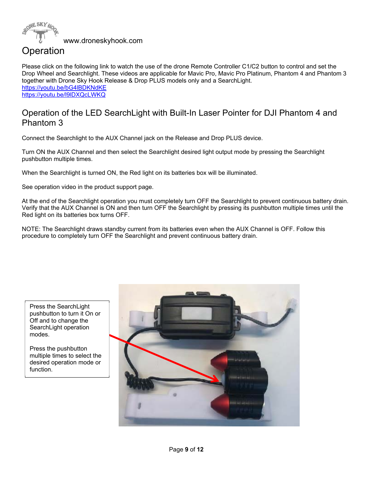![](_page_8_Picture_0.jpeg)

### **Operation**

Please click on the following link to watch the use of the drone Remote Controller C1/C2 button to control and set the Drop Wheel and Searchlight. These videos are applicable for Mavic Pro, Mavic Pro Platinum, Phantom 4 and Phantom 3 together with Drone Sky Hook Release & Drop PLUS models only and a SearchLight. https://youtu.be/bG4lBDKNdKE https://youtu.be/l9lDXQcLWKQ

#### Operation of the LED SearchLight with Built-In Laser Pointer for DJI Phantom 4 and Phantom 3

Connect the Searchlight to the AUX Channel jack on the Release and Drop PLUS device.

Turn ON the AUX Channel and then select the Searchlight desired light output mode by pressing the Searchlight pushbutton multiple times.

When the Searchlight is turned ON, the Red light on its batteries box will be illuminated.

See operation video in the product support page.

At the end of the Searchlight operation you must completely turn OFF the Searchlight to prevent continuous battery drain. Verify that the AUX Channel is ON and then turn OFF the Searchlight by pressing its pushbutton multiple times until the Red light on its batteries box turns OFF.

NOTE: The Searchlight draws standby current from its batteries even when the AUX Channel is OFF. Follow this procedure to completely turn OFF the Searchlight and prevent continuous battery drain.

![](_page_8_Picture_10.jpeg)

Press the SearchLight pushbutton to turn it On or Off and to change the SearchLight operation modes.

Press the pushbutton multiple times to select the desired operation mode or function.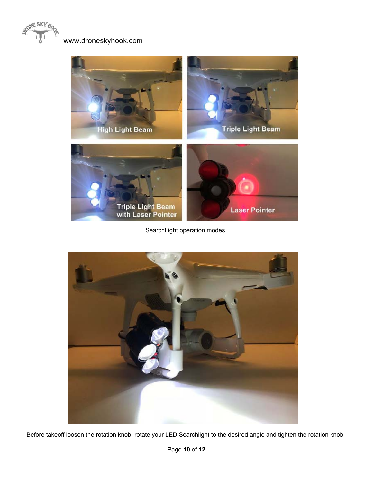![](_page_9_Picture_0.jpeg)

![](_page_9_Picture_2.jpeg)

SearchLight operation modes

![](_page_9_Picture_4.jpeg)

Before takeoff loosen the rotation knob, rotate your LED Searchlight to the desired angle and tighten the rotation knob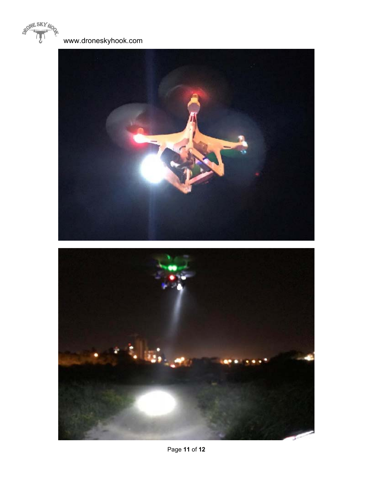![](_page_10_Picture_0.jpeg)

![](_page_10_Picture_2.jpeg)